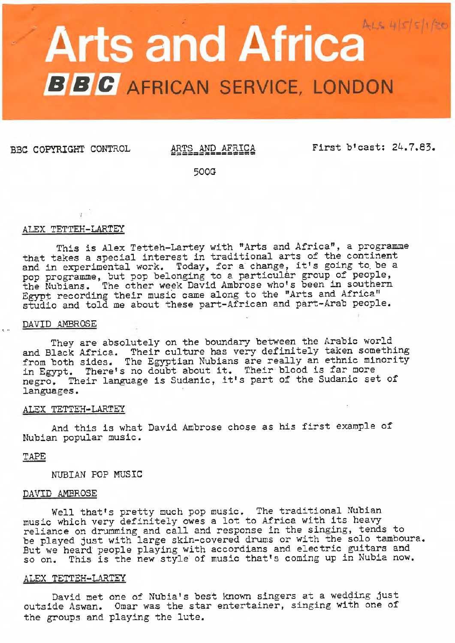# **Arts and Africa**  $A_{t,s} = 4|s|s|/20$ **B B C** AFRICAN SERVICE, LONDON

BBC COPYRIGHT CONTROL ARTS AND AFRICA

First b'cast: 24.7.83.

500G

## ALEX TETTEH-LARTEY

This is Alex Tetteh-Lartey with "Arts and Africa", a programme that takes a special interest in traditional arts of the continent that takes a special interest in traditional arts of the continent<br>and in experimental work. Today, for a change, it's going to be a pop programme, but pop belonging to a particular group of people, the Nubians. The other week David Ambrose who's been in southern Egypt recording their music came along to the "Arts and Africa" studio and told me about these part-African and part-Arab people.

## DAVID AMBROSE

They are absolutely on the boundary between the Arabic world and Black Africa. Their culture has very definitely taken something from both sides. The Egyptian Nubians are really an ethnic minority<br>in Egypt. There's no doubt about it. Their blood is far more in Egypt. There's no doubt about it. Their blood is far more negro. Their language is Sudanic, it's part of the Sudanic set of languages.

# ALEX TETTEH-LARTEY

And this is what David Ambrose chose as his first example of Nubian popular music.

# TAPE

NUBIAN POP MUSIC

## DAVID AMBROSE

Well that's pretty much pop music. The traditional Nubian music which very definitely owes a lot to Africa with its heavy reliance on drumming and call and response in the singing, tends to reliance on drumming and call and response in the singing, tends to be played just with large skin-covered drums or with the solo tamboura. But we heard people playing with accordians and electric guitars and so on. This is the new style of music that's coming up in Nubia now.

## ALEX TETTEH-LARTEY

David met one of Nubia's best known singers at a wedging just outside Aswan. Omar was the star entertainer, singing with one of the groups and playing the lute.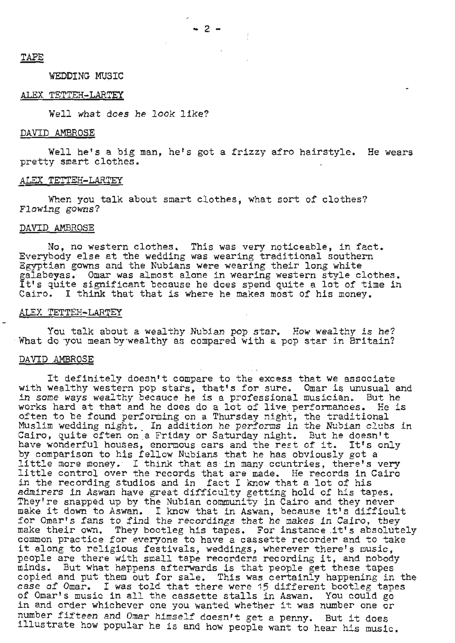# TAPE

# WEDDING MUSIC

## ALEX TETTEH-LARTEY

Well what does he look like?

#### DAVID AMBROSE

Well he's a big man, he's got a frizzy afro hairstyle. He wears pretty smart clothes.

#### ALEX TETTEH-LARTEY

When you talk about smart clothes, what sort of clothes? Flowing gowns?

## DAVID AMBROSE

No, no western clothes. This was very noticeable, in fact. Everybody else at the wedding was wearing traditional southern Egyptian gowns and the Nubians were wearing their long white galabeyas. Omar was almost alone in wearing western style clothes. galabeyas. Omar was almost alone in wearing western style clotnes.<br>It's quite significant because he does spend quite a lot of time in Cairo. I think that that is where he makes most of his money.

#### ALEX TETTEH-LARTEY

You talk about a wealthy Nubian pop star. How wealthy is he?<br> What do you mean by-wealthy as compared with a pop star in Britain?

#### DAVID AMBROSE

It definitely doesn't compare to the excess that we associate with wealthy western pop stars, that's for sure. Omar is unusual and in some ways wealthy becauce he is a professional musician. But he works hard at that and he does do a lot of live\_ performances. He is often to be found performing on a Thursday night, the traditional Muslim wedding night. In addition he performs in the Nubian clubs in Cairo, quite often on a Friday or Saturday night. But he doesn't<br>have wonderful houses, enormous cars and the rest of it. It's only have wonderful houses, enormous cars and the rest of it. by comparison to his fellow Nubians that he has obviously got a little more money. · I think that as in many countries, there's very little control over the records that are made. He records in Cairo little control over the records that are made. He records in Cairo in the recording studios and in fact I know that a lot of his admirers in Aswan have great difficulty getting hold of his tapes. They're snapped up by the Nubian community in Cairo and they never They're snapped up by the Nublan community in Cairo and they never<br>make it down to Aswan. I know that in Aswan, because it's difficult for Omar's fans to find the recordings that he makes in Cairo, they make their own. They bootleg his tapes. For instance it's absolutely common practice for everyone to have a cassette recorder and to take it along to religious festivals, weddings, wherever there's music,<br>people are there with small tape recorders recording it, and nobody minds. But what happens afterwards is that people get these tapes copied and put them out for sale. This was certainly happening in the case of Omar. I was told that there were 15 different bootleg tapes of Omar's music in all the cassette stalls in Aswan. You could go in and order whichever one you wanted whether it was number one or number fifteen and Omar himself doesn't get a penny. But it does illustrate how popular he is and how people want to hear his music.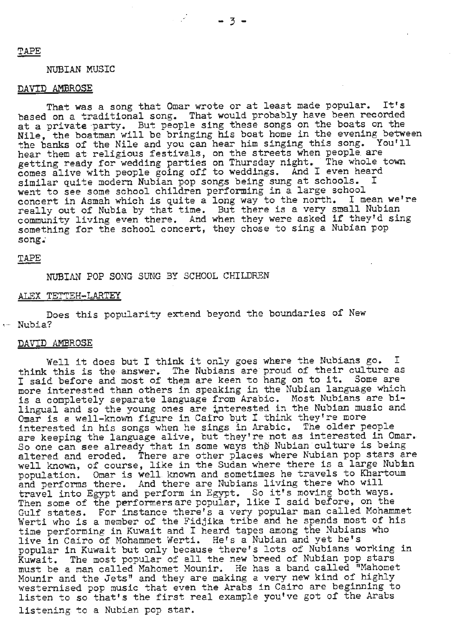## NUBIAN MUSIC

## DAVID AMBROSE

That was a song that Omar wrote or at least made popular. It's based on a traditional song. That would probably have been recorded at a private party. But people sing these songs on the boats on the Nile, the boatman will be bringing his boat home in the evening between<br>the banks of the Nile and you can hear him singing this song. You'll the banks of the Nile and you can hear him singing this song. hear them at religious festivals, on the streets when people are<br>estting ready for wedding parties on Thursday night. The whole town near them at refigreds festivitie, on the series military properties town comes alive with people going off to weddings. And I even heard similar quite modern Nubian pop songs being sung at schools. went to see some school children performing in a large school<br>concert in Asmah which is quite a long way to the north. I mean we're went to see some school children performing in a large concert in Asmah which is quite a long way to the north. I mean we're concert in Asman which is quite a long way to the nor on. I meen we really out of Nubia by that time. But there is a very small Nubian<br>community living even there. And when they were asked if they'd sing<br>something for the school concert, they chose to sing a Nubian pop something for the school concert, they chose to sing a Nubian pop song.

## TAPE

NUBIAN POP SONG SUNG BY SCHOOL CHILDREN

# ALEX TETTEH-LARTEY

Does this popularity extend beyond the boundaries of New Nubia?

#### DAVID AMBROSE

Well it does but I think it only goes where the Nubians go. I think this is the answer. The Nubians are proud of their culture as<br>I said before and most of them are keen to hang on to it. Some are I said before and most of them are keen to hang on to it. I said before and most of them are need to hang on to five some which more interested than others in speaking in the Mubian funguage which<br>is a completely separate language from Arabic. Most Nubians are biis a compressity separate imagings from measure first statements and Omar is a well-known figure in Cairo but I think they're more interested in his songs when he sings in Arabic. The older people are keeping the language alive, but they're not as interested in Omar. So one can see already that in some ways the Nubian culture is being<br>altered and eroded. There are other places where Nubian pop stars are well known, of course, like in the Sudan where there is a large Nubian well known, of course, like in the Sudan where there is a lingt has a population. Omar is well known and sometimes he travels to Khartoum population. Omain is well known and some simes he cravels we what and performs there. And there are Nubians living there who will travel into Egypt and perform in Egypt. So it's moving both ways.<br>Then some of the performers are popular, like I said before, on the Gulf states. For instance there's a very popular man called Mohammet Werti who is a member of the Fidjika tribe and he spends most of his time performing in Kuwait and I heard tapes among the Nubians who live in Cairo *of* Mohammet Werti. He's a Nubian and yet he's popular in Kuwait but only because there's lots of Nubians working in Kuwait. The most popular of all the new breed of Nubian pop stars must be a man called Mahomet Mounir. He has a band called "Mahomet<br>Mounir and the Jets" and they are making a very new kind of highly westernised pop music that even the Arabs in Cairo are beginning to listen to so that's the first real example you've got of the Arabs listening to a Nubian pop star.